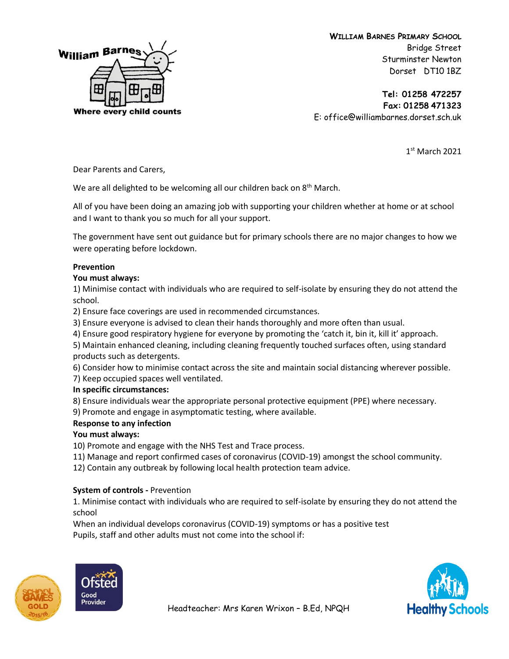

**Tel: 01258 472257 Fax: 01258 471323** E: office@williambarnes.dorset.sch.uk

1 st March 2021

Dear Parents and Carers,

We are all delighted to be welcoming all our children back on  $8<sup>th</sup>$  March.

All of you have been doing an amazing job with supporting your children whether at home or at school and I want to thank you so much for all your support.

The government have sent out guidance but for primary schools there are no major changes to how we were operating before lockdown.

#### **Prevention**

#### **You must always:**

1) Minimise contact with individuals who are required to self-isolate by ensuring they do not attend the school.

2) Ensure face coverings are used in recommended circumstances.

3) Ensure everyone is advised to clean their hands thoroughly and more often than usual.

4) Ensure good respiratory hygiene for everyone by promoting the 'catch it, bin it, kill it' approach.

5) Maintain enhanced cleaning, including cleaning frequently touched surfaces often, using standard products such as detergents.

6) Consider how to minimise contact across the site and maintain social distancing wherever possible.

7) Keep occupied spaces well ventilated.

#### **In specific circumstances:**

8) Ensure individuals wear the appropriate personal protective equipment (PPE) where necessary.

9) Promote and engage in asymptomatic testing, where available.

## **Response to any infection**

## **You must always:**

10) Promote and engage with the NHS Test and Trace process.

11) Manage and report confirmed cases of coronavirus (COVID-19) amongst the school community.

12) Contain any outbreak by following local health protection team advice.

## **System of controls -** Prevention

1. Minimise contact with individuals who are required to self-isolate by ensuring they do not attend the school

When an individual develops coronavirus (COVID-19) symptoms or has a positive test Pupils, staff and other adults must not come into the school if:



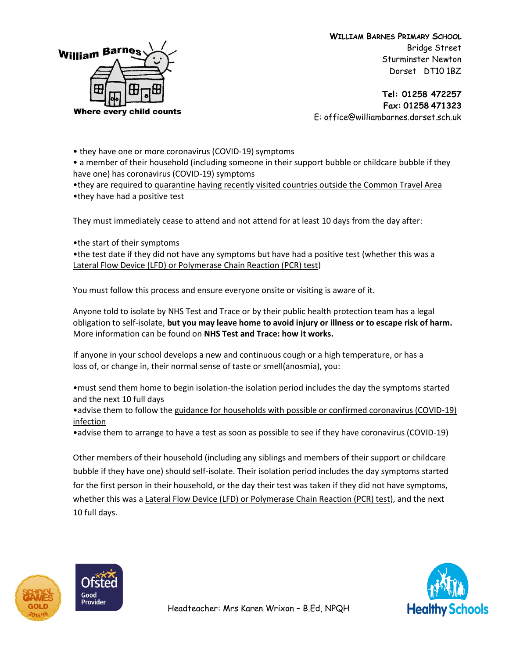

**Tel: 01258 472257 Fax: 01258 471323** E: office@williambarnes.dorset.sch.uk

• they have one or more coronavirus (COVID-19) symptoms

• a member of their household (including someone in their support bubble or childcare bubble if they have one) has coronavirus (COVID-19) symptoms

•they are required to quarantine having recently visited countries outside the Common Travel Area •they have had a positive test

They must immediately cease to attend and not attend for at least 10 days from the day after:

•the start of their symptoms

•the test date if they did not have any symptoms but have had a positive test (whether this was a Lateral Flow Device (LFD) or Polymerase Chain Reaction (PCR) test)

You must follow this process and ensure everyone onsite or visiting is aware of it.

Anyone told to isolate by NHS Test and Trace or by their public health protection team has a legal obligation to self-isolate, **but you may leave home to avoid injury or illness or to escape risk of harm.** More information can be found on **NHS Test and Trace: how it works.**

If anyone in your school develops a new and continuous cough or a high temperature, or has a loss of, or change in, their normal sense of taste or smell(anosmia), you:

•must send them home to begin isolation-the isolation period includes the day the symptoms started and the next 10 full days

•advise them to follow the guidance for households with possible or confirmed coronavirus (COVID-19) infection

• advise them to arrange to have a test as soon as possible to see if they have coronavirus (COVID-19)

Other members of their household (including any siblings and members of their support or childcare bubble if they have one) should self-isolate. Their isolation period includes the day symptoms started for the first person in their household, or the day their test was taken if they did not have symptoms, whether this was a Lateral Flow Device (LFD) or Polymerase Chain Reaction (PCR) test), and the next 10 full days.





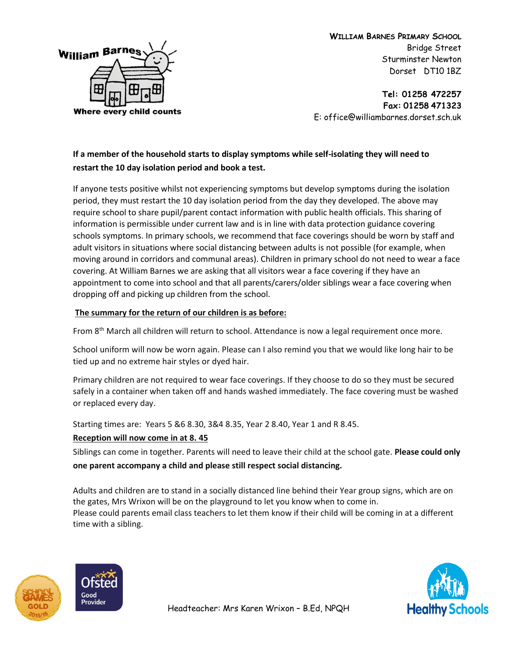

**Tel: 01258 472257 Fax: 01258 471323** E: office@williambarnes.dorset.sch.uk

# **If a member of the household starts to display symptoms while self-isolating they will need to restart the 10 day isolation period and book a test.**

If anyone tests positive whilst not experiencing symptoms but develop symptoms during the isolation period, they must restart the 10 day isolation period from the day they developed. The above may require school to share pupil/parent contact information with public health officials. This sharing of information is permissible under current law and is in line with data protection guidance covering schools symptoms. In primary schools, we recommend that face coverings should be worn by staff and adult visitors in situations where social distancing between adults is not possible (for example, when moving around in corridors and communal areas). Children in primary school do not need to wear a face covering. At William Barnes we are asking that all visitors wear a face covering if they have an appointment to come into school and that all parents/carers/older siblings wear a face covering when dropping off and picking up children from the school.

# **The summary for the return of our children is as before:**

From 8<sup>th</sup> March all children will return to school. Attendance is now a legal requirement once more.

School uniform will now be worn again. Please can I also remind you that we would like long hair to be tied up and no extreme hair styles or dyed hair.

Primary children are not required to wear face coverings. If they choose to do so they must be secured safely in a container when taken off and hands washed immediately. The face covering must be washed or replaced every day.

Starting times are: Years 5 &6 8.30, 3&4 8.35, Year 2 8.40, Year 1 and R 8.45.

## **Reception will now come in at 8. 45**

Siblings can come in together. Parents will need to leave their child at the school gate. **Please could only one parent accompany a child and please still respect social distancing.**

Adults and children are to stand in a socially distanced line behind their Year group signs, which are on the gates, Mrs Wrixon will be on the playground to let you know when to come in. Please could parents email class teachers to let them know if their child will be coming in at a different time with a sibling.



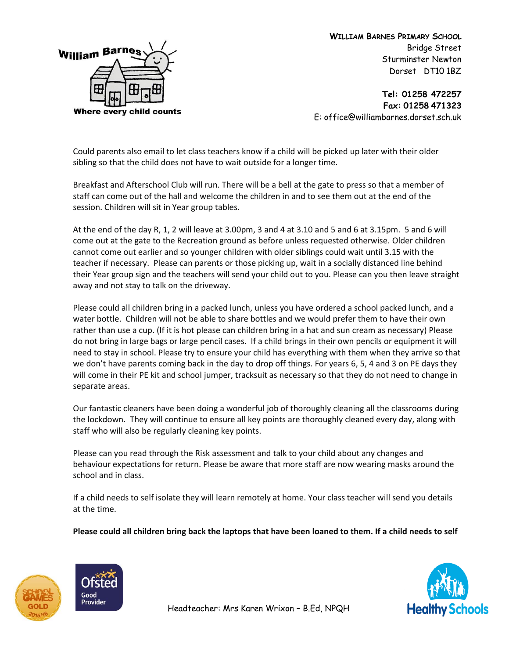

**Tel: 01258 472257 Fax: 01258 471323** E: office@williambarnes.dorset.sch.uk

Could parents also email to let class teachers know if a child will be picked up later with their older sibling so that the child does not have to wait outside for a longer time.

Breakfast and Afterschool Club will run. There will be a bell at the gate to press so that a member of staff can come out of the hall and welcome the children in and to see them out at the end of the session. Children will sit in Year group tables.

At the end of the day R, 1, 2 will leave at 3.00pm, 3 and 4 at 3.10 and 5 and 6 at 3.15pm. 5 and 6 will come out at the gate to the Recreation ground as before unless requested otherwise. Older children cannot come out earlier and so younger children with older siblings could wait until 3.15 with the teacher if necessary. Please can parents or those picking up, wait in a socially distanced line behind their Year group sign and the teachers will send your child out to you. Please can you then leave straight away and not stay to talk on the driveway.

Please could all children bring in a packed lunch, unless you have ordered a school packed lunch, and a water bottle. Children will not be able to share bottles and we would prefer them to have their own rather than use a cup. (If it is hot please can children bring in a hat and sun cream as necessary) Please do not bring in large bags or large pencil cases. If a child brings in their own pencils or equipment it will need to stay in school. Please try to ensure your child has everything with them when they arrive so that we don't have parents coming back in the day to drop off things. For years 6, 5, 4 and 3 on PE days they will come in their PE kit and school jumper, tracksuit as necessary so that they do not need to change in separate areas.

Our fantastic cleaners have been doing a wonderful job of thoroughly cleaning all the classrooms during the lockdown. They will continue to ensure all key points are thoroughly cleaned every day, along with staff who will also be regularly cleaning key points.

Please can you read through the Risk assessment and talk to your child about any changes and behaviour expectations for return. Please be aware that more staff are now wearing masks around the school and in class.

If a child needs to self isolate they will learn remotely at home. Your class teacher will send you details at the time.

**Please could all children bring back the laptops that have been loaned to them. If a child needs to self** 





Headteacher: Mrs Karen Wrixon – B.Ed, NPQH